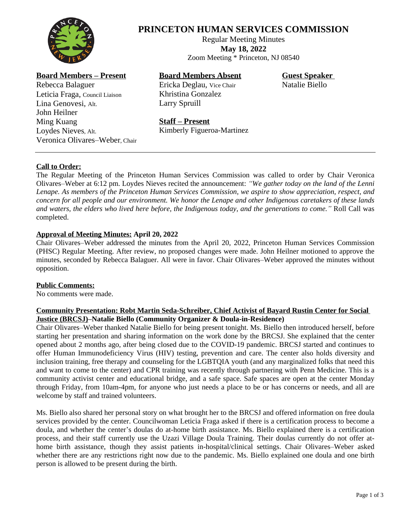

# **PRINCETON HUMAN SERVICES COMMISSION**

Regular Meeting Minutes **May 18, 2022** Zoom Meeting \* Princeton, NJ 08540

## **Board Members – Present**

Rebecca Balaguer Leticia Fraga, Council Liaison Lina Genovesi, Alt. John Heilner Ming Kuang Loydes Nieves, Alt. Veronica Olivares–Weber, Chair

## **Board Members Absent**

Ericka Deglau, Vice Chair Khristina Gonzalez Larry Spruill

**Guest Speaker** Natalie Biello

## **Staff – Present**

Kimberly Figueroa-Martinez

## **Call to Order:**

The Regular Meeting of the Princeton Human Services Commission was called to order by Chair Veronica Olivares–Weber at 6:12 pm. Loydes Nieves recited the announcement: *"We gather today on the land of the Lenni Lenape. As members of the Princeton Human Services Commission, we aspire to show appreciation, respect, and* concern for all people and our environment. We honor the Lenape and other Indigenous caretakers of these lands and waters, the elders who lived here before, the Indigenous today, and the generations to come." Roll Call was completed.

### **Approval of Meeting Minutes: April 20, 2022**

Chair Olivares–Weber addressed the minutes from the April 20, 2022, Princeton Human Services Commission (PHSC) Regular Meeting. After review, no proposed changes were made. John Heilner motioned to approve the minutes, seconded by Rebecca Balaguer. All were in favor. Chair Olivares–Weber approved the minutes without opposition.

#### **Public Comments:**

No comments were made.

#### **Community Presentation: Robt Martin Seda-Schreiber, Chief Activist of Bayard Rustin Center for Social Justice (BRCSJ)–Natalie Biello (Community Organizer & Doula-in-Residence)**

Chair Olivares–Weber thanked Natalie Biello for being present tonight. Ms. Biello then introduced herself, before starting her presentation and sharing information on the work done by the BRCSJ. She explained that the center opened about 2 months ago, after being closed due to the COVID-19 pandemic. BRCSJ started and continues to offer Human Immunodeficiency Virus (HIV) testing, prevention and care. The center also holds diversity and inclusion training, free therapy and counseling for the LGBTQIA youth (and any marginalized folks that need this and want to come to the center) and CPR training was recently through partnering with Penn Medicine. This is a community activist center and educational bridge, and a safe space. Safe spaces are open at the center Monday through Friday, from 10am-4pm, for anyone who just needs a place to be or has concerns or needs, and all are welcome by staff and trained volunteers.

Ms. Biello also shared her personal story on what brought her to the BRCSJ and offered information on free doula services provided by the center. Councilwoman Leticia Fraga asked if there is a certification process to become a doula, and whether the center's doulas do at-home birth assistance. Ms. Biello explained there is a certification process, and their staff currently use the Uzazi Village Doula Training. Their doulas currently do not offer athome birth assistance, though they assist patients in-hospital/clinical settings. Chair Olivares–Weber asked whether there are any restrictions right now due to the pandemic. Ms. Biello explained one doula and one birth person is allowed to be present during the birth.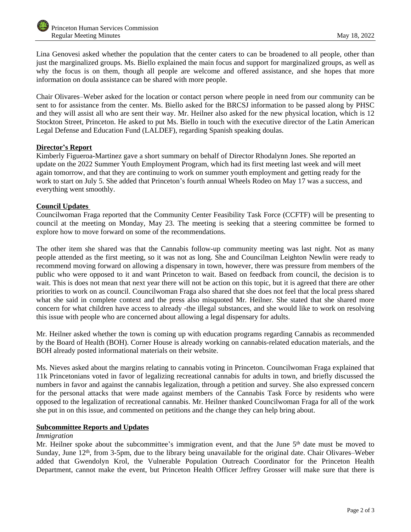Lina Genovesi asked whether the population that the center caters to can be broadened to all people, other than just the marginalized groups. Ms. Biello explained the main focus and support for marginalized groups, as well as why the focus is on them, though all people are welcome and offered assistance, and she hopes that more information on doula assistance can be shared with more people.

Chair Olivares–Weber asked for the location or contact person where people in need from our community can be sent to for assistance from the center. Ms. Biello asked for the BRCSJ information to be passed along by PHSC and they will assist all who are sent their way. Mr. Heilner also asked for the new physical location, which is 12 Stockton Street, Princeton. He asked to put Ms. Biello in touch with the executive director of the Latin American Legal Defense and Education Fund (LALDEF), regarding Spanish speaking doulas.

#### **Director's Report**

Kimberly Figueroa-Martinez gave a short summary on behalf of Director Rhodalynn Jones. She reported an update on the 2022 Summer Youth Employment Program, which had its first meeting last week and will meet again tomorrow, and that they are continuing to work on summer youth employment and getting ready for the work to start on July 5. She added that Princeton's fourth annual Wheels Rodeo on May 17 was a success, and everything went smoothly.

#### **Council Updates**

Councilwoman Fraga reported that the Community Center Feasibility Task Force (CCFTF) will be presenting to council at the meeting on Monday, May 23. The meeting is seeking that a steering committee be formed to explore how to move forward on some of the recommendations.

The other item she shared was that the Cannabis follow-up community meeting was last night. Not as many people attended as the first meeting, so it was not as long. She and Councilman Leighton Newlin were ready to recommend moving forward on allowing a dispensary in town, however, there was pressure from members of the public who were opposed to it and want Princeton to wait. Based on feedback from council, the decision is to wait. This is does not mean that next year there will not be action on this topic, but it is agreed that there are other priorities to work on as council. Councilwoman Fraga also shared that she does not feel that the local press shared what she said in complete context and the press also misquoted Mr. Heilner. She stated that she shared more concern for what children have access to already -the illegal substances, and she would like to work on resolving this issue with people who are concerned about allowing a legal dispensary for adults.

Mr. Heilner asked whether the town is coming up with education programs regarding Cannabis as recommended by the Board of Health (BOH). Corner House is already working on cannabis-related education materials, and the BOH already posted informational materials on their website.

Ms. Nieves asked about the margins relating to cannabis voting in Princeton. Councilwoman Fraga explained that 11k Princetonians voted in favor of legalizing recreational cannabis for adults in town, and briefly discussed the numbers in favor and against the cannabis legalization, through a petition and survey. She also expressed concern for the personal attacks that were made against members of the Cannabis Task Force by residents who were opposed to the legalization of recreational cannabis. Mr. Heilner thanked Councilwoman Fraga for all of the work she put in on this issue, and commented on petitions and the change they can help bring about.

#### **Subcommittee Reports and Updates**

#### *Immigration*

Mr. Heilner spoke about the subcommittee's immigration event, and that the June 5<sup>th</sup> date must be moved to Sunday, June 12<sup>th</sup>, from 3-5pm, due to the library being unavailable for the original date. Chair Olivares–Weber added that Gwendolyn Krol, the Vulnerable Population Outreach Coordinator for the Princeton Health Department, cannot make the event, but Princeton Health Officer Jeffrey Grosser will make sure that there is